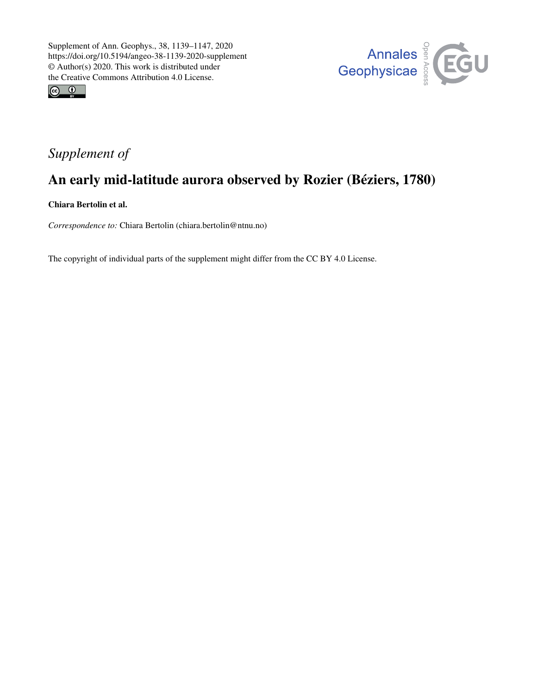



## *Supplement of*

# An early mid-latitude aurora observed by Rozier (Béziers, 1780)

Chiara Bertolin et al.

*Correspondence to:* Chiara Bertolin (chiara.bertolin@ntnu.no)

The copyright of individual parts of the supplement might differ from the CC BY 4.0 License.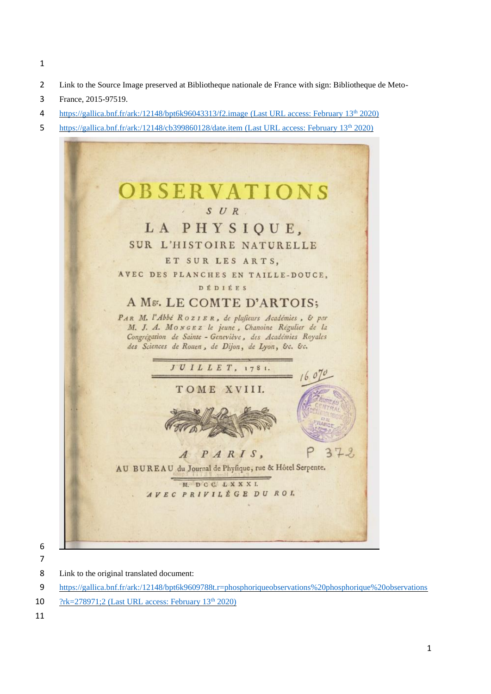- 
- Link to the Source Image preserved at Bibliotheque nationale de France with sign: Bibliotheque de Meto-
- France, 2015-97519.
- <https://gallica.bnf.fr/ark:/12148/bpt6k96043313/f2.image> (Last URL access: February 13th 2020)
- <https://gallica.bnf.fr/ark:/12148/cb399860128/date.item> (Last URL access: February 13<sup>th</sup> 2020)



 

Link to the original translated document:

[https://gallica.bnf.fr/ark:/12148/bpt6k9609788t.r=phosphoriqueobservations%20phosphorique%20observations](https://gallica.bnf.fr/ark:/12148/bpt6k9609788t.r=phosphoriqueobservations%20phosphorique%20observations?rk=278971;2)

10  $?rk=278971:2$  (Last URL access: February 13<sup>th</sup> 2020)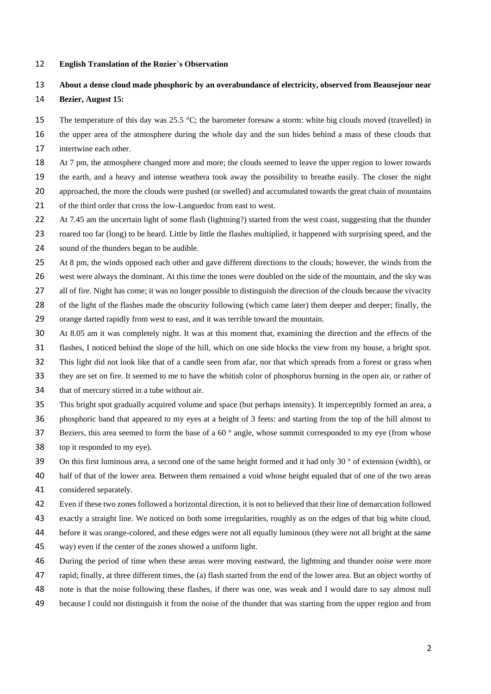#### **English Translation of the Rozier`s Observation**

### **About a dense cloud made phosphoric by an overabundance of electricity, observed from Beausejour near**

### **Bezier, August 15:**

15 The temperature of this day was 25.5 °C; the barometer foresaw a storm: white big clouds moved (travelled) in

 the upper area of the atmosphere during the whole day and the sun hides behind a mass of these clouds that intertwine each other.

At 7 pm, the atmosphere changed more and more; the clouds seemed to leave the upper region to lower towards

the earth, and a heavy and intense weathera took away the possibility to breathe easily. The closer the night

approached, the more the clouds were pushed (or swelled) and accumulated towards the great chain of mountains

21 of the third order that cross the low-Languedoc from east to west.

22 At 7.45 am the uncertain light of some flash (lightning?) started from the west coast, suggesting that the thunder

roared too far (long) to be heard. Little by little the flashes multiplied, it happened with surprising speed, and the

sound of the thunders began to be audible.

25 At 8 pm, the winds opposed each other and gave different directions to the clouds; however, the winds from the

west were always the dominant. At this time the tones were doubled on the side of the mountain, and the sky was

all of fire. Night has come; it was no longer possible to distinguish the direction of the clouds because the vivacity

of the light of the flashes made the obscurity following (which came later) them deeper and deeper; finally, the

orange darted rapidly from west to east, and it was terrible toward the mountain.

At 8.05 am it was completely night. It was at this moment that, examining the direction and the effects of the

flashes, I noticed behind the slope of the hill, which on one side blocks the view from my house, a bright spot.

This light did not look like that of a candle seen from afar, nor that which spreads from a forest or grass when

- they are set on fire. It seemed to me to have the whitish color of phosphorus burning in the open air, or rather of
- that of mercury stirred in a tube without air.

This bright spot gradually acquired volume and space (but perhaps intensity). It imperceptibly formed an area, a

phosphoric band that appeared to my eyes at a height of 3 feets: and starting from the top of the hill almost to

- 37 Beziers, this area seemed to form the base of a 60 $\degree$  angle, whose summit corresponded to my eye (from whose
- top it responded to my eye).

39 On this first luminous area, a second one of the same height formed and it had only 30  $\degree$  of extension (width), or

 half of that of the lower area. Between them remained a void whose height equaled that of one of the two areas considered separately.

Even if these two zones followed a horizontal direction, it is not to believed that their line of demarcation followed

exactly a straight line. We noticed on both some irregularities, roughly as on the edges of that big white cloud,

before it was orange-colored, and these edges were not all equally luminous (they were not all bright at the same

way) even if the center of the zones showed a uniform light.

During the period of time when these areas were moving eastward, the lightning and thunder noise were more

rapid; finally, at three different times, the (a) flash started from the end of the lower area. But an object worthy of

- note is that the noise following these flashes, if there was one, was weak and I would dare to say almost null
- because I could not distinguish it from the noise of the thunder that was starting from the upper region and from